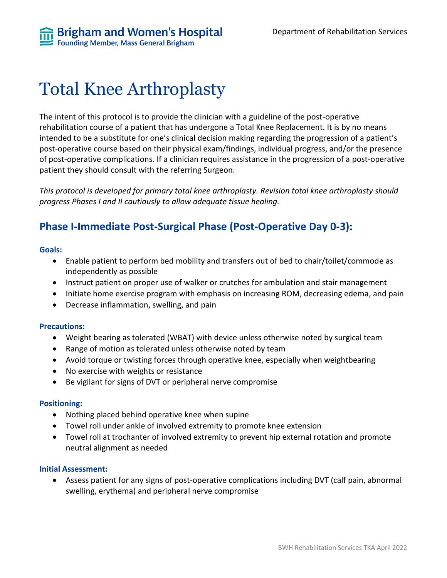**Brigham and Women's Hospital**<br>Founding Member, Mass General Brigham

# Total Knee Arthroplasty

The intent of this protocol is to provide the clinician with a guideline of the post-operative rehabilitation course of a patient that has undergone a Total Knee Replacement. It is by no means intended to be a substitute for one's clinical decision making regarding the progression of a patient's post-operative course based on their physical exam/findings, individual progress, and/or the presence of post-operative complications. If a clinician requires assistance in the progression of a post-operative patient they should consult with the referring Surgeon.

*This protocol is developed for primary total knee arthroplasty. Revision total knee arthroplasty should progress Phases I and II cautiously to allow adequate tissue healing.*

### **Phase I-Immediate Post-Surgical Phase (Post-Operative Day 0-3):**

#### **Goals:**

- Enable patient to perform bed mobility and transfers out of bed to chair/toilet/commode as independently as possible
- Instruct patient on proper use of walker or crutches for ambulation and stair management
- Initiate home exercise program with emphasis on increasing ROM, decreasing edema, and pain
- Decrease inflammation, swelling, and pain

#### **Precautions:**

- Weight bearing as tolerated (WBAT) with device unless otherwise noted by surgical team
- Range of motion as tolerated unless otherwise noted by team
- Avoid torque or twisting forces through operative knee, especially when weightbearing
- No exercise with weights or resistance
- Be vigilant for signs of DVT or peripheral nerve compromise

### **Positioning:**

- Nothing placed behind operative knee when supine
- Towel roll under ankle of involved extremity to promote knee extension
- Towel roll at trochanter of involved extremity to prevent hip external rotation and promote neutral alignment as needed

### **Initial Assessment:**

• Assess patient for any signs of post-operative complications including DVT (calf pain, abnormal swelling, erythema) and peripheral nerve compromise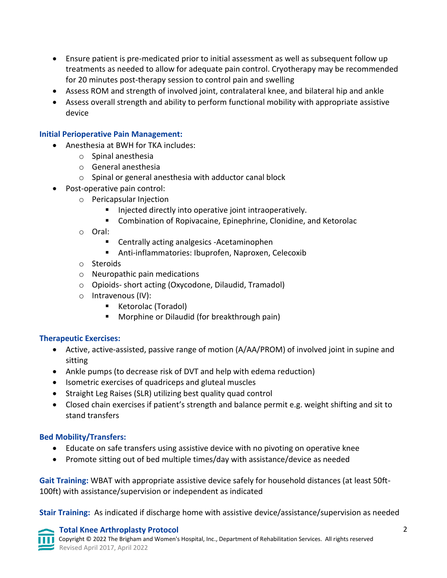- Ensure patient is pre-medicated prior to initial assessment as well as subsequent follow up treatments as needed to allow for adequate pain control. Cryotherapy may be recommended for 20 minutes post-therapy session to control pain and swelling
- Assess ROM and strength of involved joint, contralateral knee, and bilateral hip and ankle
- Assess overall strength and ability to perform functional mobility with appropriate assistive device

### **Initial Perioperative Pain Management:**

- Anesthesia at BWH for TKA includes:
	- o Spinal anesthesia
	- o General anesthesia
	- o Spinal or general anesthesia with adductor canal block
- Post-operative pain control:
	- o Pericapsular Injection
		- Injected directly into operative joint intraoperatively.
		- Combination of Ropivacaine, Epinephrine, Clonidine, and Ketorolac
	- o Oral:
		- Centrally acting analgesics -Acetaminophen
		- Anti-inflammatories: Ibuprofen, Naproxen, Celecoxib
	- o Steroids
	- o Neuropathic pain medications
	- o Opioids- short acting (Oxycodone, Dilaudid, Tramadol)
	- o Intravenous (IV):
		- Ketorolac (Toradol)
		- Morphine or Dilaudid (for breakthrough pain)

### **Therapeutic Exercises:**

- Active, active-assisted, passive range of motion (A/AA/PROM) of involved joint in supine and sitting
- Ankle pumps (to decrease risk of DVT and help with edema reduction)
- Isometric exercises of quadriceps and gluteal muscles
- Straight Leg Raises (SLR) utilizing best quality quad control
- Closed chain exercises if patient's strength and balance permit e.g. weight shifting and sit to stand transfers

### **Bed Mobility/Transfers:**

- Educate on safe transfers using assistive device with no pivoting on operative knee
- Promote sitting out of bed multiple times/day with assistance/device as needed

**Gait Training:** WBAT with appropriate assistive device safely for household distances (at least 50ft-100ft) with assistance/supervision or independent as indicated

**Stair Training:** As indicated if discharge home with assistive device/assistance/supervision as needed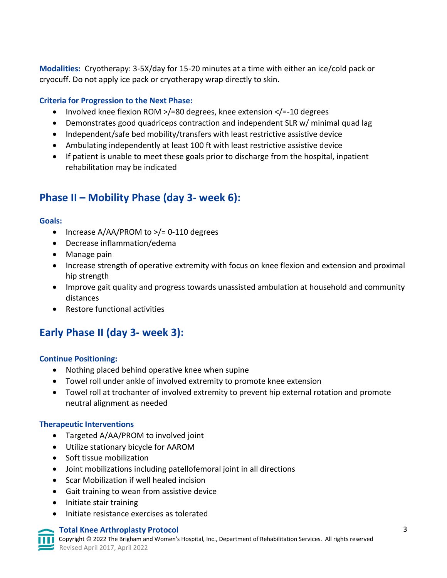**Modalities:** Cryotherapy: 3-5X/day for 15-20 minutes at a time with either an ice/cold pack or cryocuff. Do not apply ice pack or cryotherapy wrap directly to skin.

### **Criteria for Progression to the Next Phase:**

- Involved knee flexion ROM >/=80 degrees, knee extension </=-10 degrees
- Demonstrates good quadriceps contraction and independent SLR w/ minimal quad lag
- Independent/safe bed mobility/transfers with least restrictive assistive device
- Ambulating independently at least 100 ft with least restrictive assistive device
- If patient is unable to meet these goals prior to discharge from the hospital, inpatient rehabilitation may be indicated

### **Phase II – Mobility Phase (day 3- week 6):**

### **Goals:**

- Increase A/AA/PROM to >/= 0-110 degrees
- Decrease inflammation/edema
- Manage pain
- Increase strength of operative extremity with focus on knee flexion and extension and proximal hip strength
- Improve gait quality and progress towards unassisted ambulation at household and community distances
- Restore functional activities

## **Early Phase II (day 3- week 3):**

### **Continue Positioning:**

- Nothing placed behind operative knee when supine
- Towel roll under ankle of involved extremity to promote knee extension
- Towel roll at trochanter of involved extremity to prevent hip external rotation and promote neutral alignment as needed

### **Therapeutic Interventions**

- Targeted A/AA/PROM to involved joint
- Utilize stationary bicycle for AAROM
- Soft tissue mobilization
- Joint mobilizations including patellofemoral joint in all directions
- Scar Mobilization if well healed incision
- Gait training to wean from assistive device
- Initiate stair training
- Initiate resistance exercises as tolerated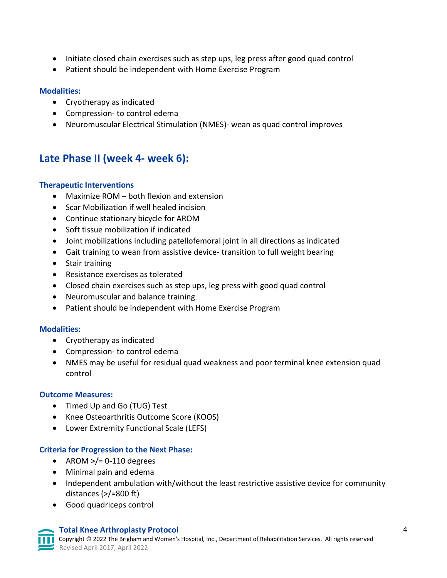- Initiate closed chain exercises such as step ups, leg press after good quad control
- Patient should be independent with Home Exercise Program

### **Modalities:**

- Cryotherapy as indicated
- Compression- to control edema
- Neuromuscular Electrical Stimulation (NMES)- wean as quad control improves

### **Late Phase II (week 4- week 6):**

### **Therapeutic Interventions**

- Maximize ROM both flexion and extension
- Scar Mobilization if well healed incision
- Continue stationary bicycle for AROM
- Soft tissue mobilization if indicated
- Joint mobilizations including patellofemoral joint in all directions as indicated
- Gait training to wean from assistive device- transition to full weight bearing
- Stair training
- Resistance exercises as tolerated
- Closed chain exercises such as step ups, leg press with good quad control
- Neuromuscular and balance training
- Patient should be independent with Home Exercise Program

### **Modalities:**

- Cryotherapy as indicated
- Compression- to control edema
- NMES may be useful for residual quad weakness and poor terminal knee extension quad control

### **Outcome Measures:**

- Timed Up and Go (TUG) Test
- Knee Osteoarthritis Outcome Score (KOOS)
- Lower Extremity Functional Scale (LEFS)

### **Criteria for Progression to the Next Phase:**

- AROM  $>$ /= 0-110 degrees
- Minimal pain and edema
- Independent ambulation with/without the least restrictive assistive device for community distances (>/=800 ft)
- Good quadriceps control

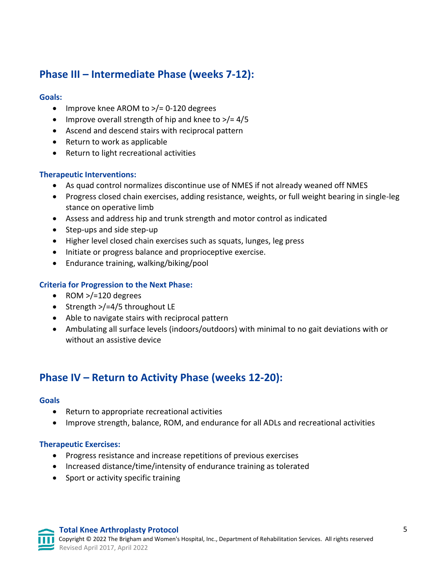## **Phase III – Intermediate Phase (weeks 7-12):**

### **Goals:**

- Improve knee AROM to >/= 0-120 degrees
- Improve overall strength of hip and knee to  $\frac{>}{=}$  4/5
- Ascend and descend stairs with reciprocal pattern
- Return to work as applicable
- Return to light recreational activities

### **Therapeutic Interventions:**

- As quad control normalizes discontinue use of NMES if not already weaned off NMES
- Progress closed chain exercises, adding resistance, weights, or full weight bearing in single-leg stance on operative limb
- Assess and address hip and trunk strength and motor control as indicated
- Step-ups and side step-up
- Higher level closed chain exercises such as squats, lunges, leg press
- Initiate or progress balance and proprioceptive exercise.
- Endurance training, walking/biking/pool

### **Criteria for Progression to the Next Phase:**

- ROM >/=120 degrees
- Strength >/=4/5 throughout LE
- Able to navigate stairs with reciprocal pattern
- Ambulating all surface levels (indoors/outdoors) with minimal to no gait deviations with or without an assistive device

### **Phase IV – Return to Activity Phase (weeks 12-20):**

#### **Goals**

- Return to appropriate recreational activities
- Improve strength, balance, ROM, and endurance for all ADLs and recreational activities

### **Therapeutic Exercises:**

- Progress resistance and increase repetitions of previous exercises
- Increased distance/time/intensity of endurance training as tolerated
- Sport or activity specific training